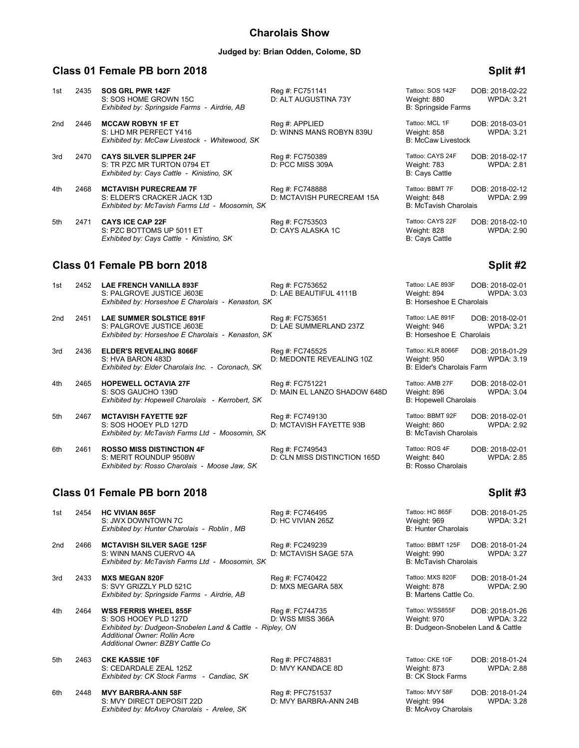## **Charolais Show**

### **Judged by: Brian Odden, Colome, SD**

### **Class 01 Female PB born 2018 Split #1 Split #1 Split #1 Split #1 Split #1**

| 1st | 2435 | SOS GRL PWR 142F<br>S: SOS HOME GROWN 15C<br>Exhibited by: Springside Farms - Airdrie, AB                      | Reg #: FC751141<br>D: ALT AUGUSTINA 73Y       | Tattoo: SOS 142F<br>Weight: 880<br><b>B: Springside Farms</b>  | DOB: 2018-02-22<br><b>WPDA: 3.21</b> |
|-----|------|----------------------------------------------------------------------------------------------------------------|-----------------------------------------------|----------------------------------------------------------------|--------------------------------------|
| 2nd | 2446 | <b>MCCAW ROBYN 1F ET</b><br>S: LHD MR PERFECT Y416<br>Exhibited by: McCaw Livestock - Whitewood, SK            | Req #: APPLIED<br>D: WINNS MANS ROBYN 839U    | Tattoo: MCL 1F<br>Weight: 858<br><b>B: McCaw Livestock</b>     | DOB: 2018-03-01<br><b>WPDA: 3.21</b> |
| 3rd | 2470 | <b>CAYS SILVER SLIPPER 24F</b><br>S: TR PZC MR TURTON 0794 ET<br>Exhibited by: Cays Cattle - Kinistino, SK     | Reg #: FC750389<br>D: PCC MISS 309A           | Tattoo: CAYS 24F<br>Weight: 783<br><b>B: Cays Cattle</b>       | DOB: 2018-02-17<br><b>WPDA: 2.81</b> |
| 4th | 2468 | <b>MCTAVISH PURECREAM 7F</b><br>S: ELDER'S CRACKER JACK 13D<br>Exhibited by: McTavish Farms Ltd - Moosomin, SK | Reg #: FC748888<br>D: MCTAVISH PURECREAM 15A  | Tattoo: BBMT 7F<br>Weight: 848<br><b>B: McTavish Charolais</b> | DOB: 2018-02-12<br><b>WPDA: 2.99</b> |
| 5th | 2471 | <b>CAYS ICE CAP 22F</b><br>S: PZC BOTTOMS UP 5011 ET<br>Exhibited by: Cays Cattle - Kinistino, SK              | Reg #: FC753503<br>D: CAYS ALASKA 1C          | Tattoo: CAYS 22F<br>Weight: 828<br><b>B: Cays Cattle</b>       | DOB: 2018-02-10<br><b>WPDA: 2.90</b> |
|     |      | Class 01 Female PB born 2018                                                                                   |                                               |                                                                | Split #2                             |
| 1st | 2452 | <b>LAE FRENCH VANILLA 893F</b>                                                                                 | Reg #: FC753652<br><b>BUAFBEAUTIFUL 4444B</b> | Tattoo: LAE 893F<br>111.7.1.001                                | DOB: 2018-02-01<br>$\cdots$          |

D: MAIN EL LANZO SHADOW 648D

- **Exhibited by: Horseshoe E Charolais Kenaston, SK** 2nd 2451 **LAE SUMMER SOLSTICE 891F** Reg #: FC753651 Tattoo: LAE 891F DOB: 2018-02-01<br>S: PALGROVE JUSTICE J603E D: LAE SUMMERLAND 237Z Weight: 946 WPDA: 3.21 S: PALGROVE JUSTICE J603E D: LAE SUMMERLAND 237Z Weight: 946 WPDA: 3.21 **Exhibited by: Horseshoe E Charolais - Kenaston, SK**
- 3rd 2436 **ELDER'S REVEALING 8066F** Reg #: FC745525 Tattoo: KLR 8066F DOB: 2018-01-29<br>1.19 S: HVA BARON 483D D: MEDONTE REVEALING 10Z Weight: 950 WPDA: 3.19 *Exhibited by: Elder Charolais Inc. - Coronach, SK*
- 4th 2465 **HOPEWELL OCTAVIA 27F** Reg #: FC751221 Tattoo: AMB 27F DOB: 2018-02-01<br>B: MAIN EL LANZO SHADOW 648D Weight: 896 WPDA: 3.04 Exhibited by: Hopewell Charolais - Kerrobert, SK B: Hopewell Charolais - B: Hopewell Charolais
- 5th 2467 **MCTAVISH FAYETTE 92F** Reg #: FC749130 Tattoo: BBMT 92F DOB: 2018-02-01<br>S: SOS HOOEY PLD 127D D: MCTAVISH FAYETTE 93B Weight: 860 WPDA: 2.92 *Exhibited by: McTavish Farms Ltd - Moosomin, SK*
- 6th 2461 **ROSSO MISS DISTINCTION 4F** Reg #: FC749543 Tattoo: ROS 4F DOB: 2018-02-01<br>B: MERIT ROUNDUP 9508W D: CLN MISS DISTINCTION 165D Weight: 840 WPDA: 2.85 **Exhibited by: Rosso Charolais - Moose Jaw, SK**

## **Class 01 Female PB born 2018 Split #3**

1st 2454 **HC VIVIAN 865F CONDUMED Reg #: FC746495** Tattoo: HC 865F **DOB: 2018-01-25**<br>1st 3.21 S: JWX DOWNTOWN 7C **D: HC VIVIAN 265Z** Weight: 969 WPDA: 3.21 S: JWX DOWNTOWN 7C *Exhibited by: Hunter Charolais - Roblin , MB* 2nd 2466 **MCTAVISH SILVER SAGE 125F** Reg #: FC249239 Tattoo: BBMT 125F DOB: 2018-01-24 S: WINN MANS CUERVO 4A **Exhibited by: McTavish Farms Ltd - Moosomin, SK** 3rd 2433 **MXS MEGAN 820F** Reg #: FC740422 Tattoo: MXS 820F DOB: 2018-01-24<br>S: SVY GRIZZLY PLD 521C D: MXS MEGARA 58X Weight: 878 WPDA: 2.90 S: SVY GRIZZLY PLD 521C D: MXS MEGARA 58X Weight: 878 WPDA: 2.90 *Exhibited by: Springside Farms - Airdrie, AB* 4th 2464 **WSS FERRIS WHEEL 855F** Reg #: FC744735 Tattoo: WSS855F DOB: 2018-01-26<br>22: S: SOS HOOEY PLD 127D D: WSS MISS 366A Weight: 970 WPDA: 3.22 S: SOS HOOEY PLD 127D D: WSS MISS 366A Weight: 970 WEDA: 3.22<br>Exhibited by: Dudgeon-Snobelen Land & Cattle - Ripley, ON B: Dudgeon-Snobelen Land & Cattle *Exhibited by: Dudgeon-Snobelen Land & Cattle - Ripley, ON Additional Owner: Rollin Acre Additional Owner: BZBY Cattle Co* 5th 2463 **CKE KASSIE 10F** Reg #: PFC748831 Tattoo: CKE 10F DOB: 2018-01-24<br>S: CEDARDALE ZEAL 125Z D: MVY KANDACE 8D Weight: 873 WPDA: 2.88 S: CEDARDALE ZEAL 125Z D: MVY KANDACE 8D Weight: 873 WPDA: 2.88 *Exhibited by: CK Stock Farms - Candiac, SK* 6th 2448 **MVY BARBRA-ANN 58F** Reg #: PFC751537 Tattoo: MVY 58F DOB: 2018-01-24 S: MVY DIRECT DEPOSIT 22D D: MVY BARBRA-ANN 24B Weight: 994 WPDA: 3.28 *Exhibited by: McAvoy Charolais - Arelee, SK* 

| 00: SOS 142F<br>ght: 880<br>pringside Farms                 | DOB: 2018-02-22<br><b>WPDA: 3.21</b> |
|-------------------------------------------------------------|--------------------------------------|
| oo: MCL 1F<br>ght: 858<br><b>AcCaw Livestock</b>            | DOB: 2018-03-01<br><b>WPDA: 3.21</b> |
| 00: CAYS 24F<br>ght: 783<br>Cattle                          | DOB: 2018-02-17<br><b>WPDA: 2.81</b> |
| 00: BBMT 7F<br>ght: 848<br><i><b>IcTavish Charolais</b></i> | DOB: 2018-02-12<br><b>WPDA: 2.99</b> |
| 00: CAYS 22F<br>ght: 828<br>Cattle                          | DOB: 2018-02-10<br><b>WPDA: 2.90</b> |

S: PALGROVE JUSTICE J603E D: LAE BEAUTIFUL 4111B Weight: 894 WPDA: 3.03<br>Exhibited by: Horseshoe E Charolais - Kenaston, SK B: Horseshoe E Charolais

D: MEDONTE REVEALING 10Z Weight: 950<br>B: Elder's Charolais Farm

D: MCTAVISH FAYETTE 93B Weight: 860<br>B: McTavish Charolais

D: CLN MISS DISTINCTION 165D Weight: 840<br>B: Rosso Charolais

| Tattoo: HC 865F<br>Weight: 969<br><b>B: Hunter Charolais</b>     | DOB: 2018-01-2<br>WPDA: 3.         |
|------------------------------------------------------------------|------------------------------------|
| Tattoo: BBMT 125F<br>Weight: 990<br><b>B: McTavish Charolais</b> | DOB: 2018-01-2<br>WPDA: 3.         |
| Tattoo: MXS 820F<br>Weight: 878<br>B: Martens Cattle Co.         | DOB: 2018-01-2<br><b>WPDA: 2.9</b> |
| Tattoo: WSS855F<br>Weight: 970                                   | DOB: 2018-01-2<br>WPDA: 3.         |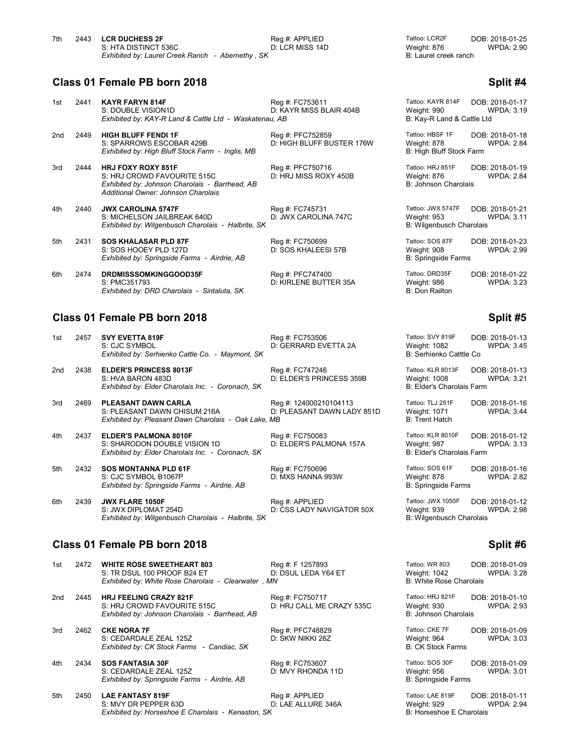| 7th | 2443 LCR DUCHESS 2F                              | Reg #: APPLIED  | Tattoo: LCR2F         | DOB: 2018-01-25   |
|-----|--------------------------------------------------|-----------------|-----------------------|-------------------|
|     | S: HTA DISTINCT 536C                             | D: LCR MISS 14D | Weight: 876           | <b>WPDA: 2.90</b> |
|     | Exhibited by: Laurel Creek Ranch - Abernethy, SK |                 | B: Laurel creek ranch |                   |

### **Class 01 Female PB born 2018 Split #4 Split #4**

| 1st | 2441 | <b>KAYR FARYN 814F</b><br>S: DOUBLE VISION1D<br>Exhibited by: KAY-R Land & Cattle Ltd - Waskatenau, AB                                            | Reg #: FC753611<br>D: KAYR MISS BLAIR 404B    | Tattoo: KAYR 814F<br>Weight: 990<br>B: Kay-R Land & Cattle Ltd | DOB: 2018-01-17<br><b>WPDA: 3.19</b> |
|-----|------|---------------------------------------------------------------------------------------------------------------------------------------------------|-----------------------------------------------|----------------------------------------------------------------|--------------------------------------|
| 2nd | 2449 | <b>HIGH BLUFF FENDI 1F</b><br>S: SPARROWS ESCOBAR 429B<br>Exhibited by: High Bluff Stock Farm - Inglis, MB                                        | Reg #: PFC752859<br>D: HIGH BLUFF BUSTER 176W | Tattoo: HBSF 1F<br>Weight: 878<br>B: High Bluff Stock Farm     | DOB: 2018-01-18<br><b>WPDA: 2.84</b> |
| 3rd | 2444 | <b>HRJ FOXY ROXY 851F</b><br>S: HRJ CROWD FAVOURITE 515C<br>Exhibited by: Johnson Charolais - Barrhead, AB<br>Additional Owner: Johnson Charolais | Reg #: PFC750716<br>D: HRJ MISS ROXY 450B     | Tattoo: HRJ 851F<br>Weight: 876<br>B: Johnson Charolais        | DOB: 2018-01-19<br><b>WPDA: 2.84</b> |
| 4th | 2440 | <b>JWX CAROLINA 5747F</b><br>S: MICHELSON JAILBREAK 640D<br>Exhibited by: Wilgenbusch Charolais - Halbrite, SK                                    | Reg #: FC745731<br>D: JWX CAROLINA 747C       | Tattoo: JWX 5747F<br>Weight: 953<br>B: Wilgenbusch Charolais   | DOB: 2018-01-21<br><b>WPDA: 3.11</b> |
| 5th | 2431 | <b>SOS KHALASAR PLD 87F</b><br>S: SOS HOOEY PLD 127D<br>Exhibited by: Springside Farms - Airdrie, AB                                              | Reg #: FC750699<br>D: SOS KHALEESI 57B        | Tattoo: SOS 87F<br>Weight: 908<br><b>B: Springside Farms</b>   | DOB: 2018-01-23<br><b>WPDA: 2.99</b> |
| 6th | 2474 | <b>DRDMISSSOMKINGGOOD35F</b><br>S: PMC351793<br>Exhibited by: DRD Charolais - Sintaluta, SK                                                       | Reg #: PFC747400<br>D: KIRLENE BUTTER 35A     | Tattoo: DRD35F<br>Weight: 986<br>B: Don Railton                | DOB: 2018-01-22<br><b>WPDA: 3.23</b> |

## **Class 01 Female PB born 2018 Split #5** Split #5

| 1st | 2457 SVY EVETTA 819F                             | Rea #: FC753506      | Tattoo: SVY 819F        | DOB: 2018-01-13   |
|-----|--------------------------------------------------|----------------------|-------------------------|-------------------|
|     | S: CJC SYMBOL                                    | D: GERRARD EVETTA 2A | Weight: 1082            | <b>WPDA: 3.45</b> |
|     | Exhibited by: Serhienko Cattle Co. - Maymont, SK |                      | B: Serhienko Catttle Co |                   |

| 2nd | 2438 | <b>ELDER'S PRINCESS 8013F</b>                     |
|-----|------|---------------------------------------------------|
|     |      | S: HVA BARON 483D                                 |
|     |      | Exhibited by: Elder Charolais Inc. - Coronach, SK |

3rd 2469 **PLEASANT DAWN CARLA** Reg #: 124000210104113 Tattoo: TLJ 251F DOB: 2018-01-16<br>S: PLEASANT DAWN CHISUM 216A D: PLEASANT DAWN LADY 851D Weight: 1071 WPDA: 3.44 S: PLEASANT DAWN CHISUM 216A D: PLEASANT DAWN LADY 851D Weight: 1071<br>Exhibited by: Pleasant Dawn Charolais - Oak Lake. MB *Exhibited by: Pleasant Dawn Charolais - Oak Lake, MB* 

4th 2437 **ELDER'S PALMONA 8010F** Reg #: FC750083 Tattoo: KLR 8010F DOB: 2018-01-12<br>S: SHARODON DOUBLE VISION 1D D: ELDER'S PALMONA 157A Weight: 987 WPDA: 3.13 S: SHARODON DOUBLE VISION 1D D: ELDER'S PALMONA 157A Weight: 987<br>Exhibited by: Elder Charolais Inc. - Coronach. SK B: Elder's Charolais Farm *Exhibited by: Elder Charolais Inc. - Coronach, SK* 

5th 2432 **SOS MONTANNA PLD 61F** Reg #: FC750696 Tattoo: SOS 61F DOB: 2018-01-16<br>S: CJC SYMBOL B1067P D: MXS HANNA 993W Weight: 878 WPDA: 2.82 S: CJC SYMBOL B1067P *Exhibited by: Springside Farms - Airdrie, AB* B: Springside Farms

6th 2439 **JWX FLARE 1050F** Reg #: APPLIED Tattoo: JWX 1050F DOB: 2018-01-12<br>B: JWX DIPLOMAT 254D D: CSS LADY NAVIGATOR 50X Weight: 939 WPDA: 2.98 **Exhibited by: Wilgenbusch Charolais - Halbrite, SK** 

D: ELDER'S PRINCESS 359B

## **Class 01 Female PB born 2018 Split #6** Split #6

| 1st | 2472 | <b>WHITE ROSE SWEETHEART 803</b><br>S: TR DSUL 100 PROOF B24 ET<br>Exhibited by: White Rose Charolais - Clearwater, MN | Reg #: F 1257893<br>D: DSUL LEDA Y64 ET      | Tattoo: WR 803<br>Weight: 1042<br><b>B: White Rose Charolais</b> | DOB: 2018-01-09<br><b>WPDA: 3.28</b> |
|-----|------|------------------------------------------------------------------------------------------------------------------------|----------------------------------------------|------------------------------------------------------------------|--------------------------------------|
| 2nd | 2445 | <b>HRJ FEELING CRAZY 821F</b><br>S: HRJ CROWD FAVOURITE 515C<br>Exhibited by: Johnson Charolais - Barrhead, AB         | Reg #: FC750717<br>D: HRJ CALL ME CRAZY 535C | Tattoo: HRJ 821F<br>Weight: 930<br>B: Johnson Charolais          | DOB: 2018-01-10<br><b>WPDA: 2.93</b> |
| 3rd | 2462 | <b>CKE NORA 7F</b><br>S: CEDARDALE ZEAL 125Z<br>Exhibited by: CK Stock Farms - Candiac, SK                             | Reg #: PFC748829<br>D: SKW NIKKI 26Z         | Tattoo: CKE 7F<br>Weight: 964<br><b>B: CK Stock Farms</b>        | DOB: 2018-01-09<br><b>WPDA: 3.03</b> |
| 4th | 2434 | <b>SOS FANTASIA 30F</b><br>S: CEDARDALE ZEAL 125Z<br>Exhibited by: Springside Farms - Airdrie, AB                      | Reg #: FC753607<br>D: MVY RHONDA 11D         | Tattoo: SOS 30F<br>Weight: 956<br><b>B: Springside Farms</b>     | DOB: 2018-01-09<br><b>WPDA: 3.01</b> |
| 5th | 2450 | <b>LAE FANTASY 819F</b><br>S: MVY DR PEPPER 63D<br>Exhibited by: Horseshoe E Charolais - Kenaston, SK                  | Req #: APPLIED<br>D: LAE ALLURE 346A         | Tattoo: LAE 819F<br>Weight: 929<br>B: Horseshoe E Charolais      | DOB: 2018-01-11<br><b>WPDA: 2.94</b> |

| attoo: KAYR 814F<br>Veight: 990<br>8: Kay-R Land & Cattle Ltd | DOB: 2018-01-17<br><b>WPDA: 3.19</b> |
|---------------------------------------------------------------|--------------------------------------|
| attoo: HBSF 1F<br>Veight: 878<br>: High Bluff Stock Farm      | DOB: 2018-01-18<br><b>WPDA: 2.84</b> |
| attoo: HRJ 851F<br>Veight: 876<br>: Johnson Charolais         | DOB: 2018-01-19<br><b>WPDA: 2.84</b> |
| attoo: JWX 5747F                                              | DOB: 2018-01-21                      |

Peg #: FC747246 **ELDER'S PRINCESS 359B** Tattoo: KLR 8013F DOB: 2018-01-13<br>D: ELDER'S PRINCESS 359B Weight: 1008 WPDA: 3.21 **B: Elder's Charolais Farm.** 

D: CSS LADY NAVIGATOR 50X Weight: 939<br>B: Wilgenbusch Charolais

| attoo: WR 803<br>/eight: 1042<br>: White Rose Charolais | DOB: 2018-01-09<br><b>WPDA: 3.28</b> |
|---------------------------------------------------------|--------------------------------------|
| attoo: HRJ 821F<br>/eight: 930<br>: Johnson Charolais   | DOB: 2018-01-10<br><b>WPDA: 2.93</b> |
| attoo: CKE 7F<br>/eight: 964<br>: CK Stock Farms        | DOB: 2018-01-09<br><b>WPDA: 3.03</b> |
| attoo: SOS 30F<br>/eight: 956<br>: Springside Farms     | DOB: 2018-01-09<br><b>WPDA: 3.01</b> |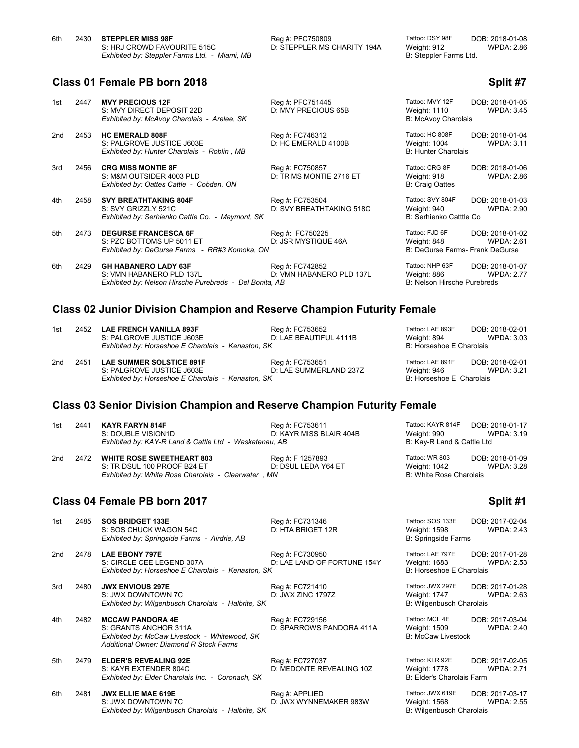| 6th | 2430 STEPPLER MISS 98F                        | Reg #: PFC75 |
|-----|-----------------------------------------------|--------------|
|     | S: HRJ CROWD FAVOURITE 515C                   | D: STEPPLER  |
|     | Exhibited by: Steppler Farms Ltd. - Miami, MB |              |

MS CHARITY 194A

6th 2430 **STEPPLER MISS 98F** Reg #: PFC750809 Tattoo: DSY 98F DOB: 2018-01-08 **B: Steppler Farms Ltd.** 

## **Class 01 Female PB born 2018 Split #7 Split #7 Split #7 Split #7**

| 1st | 2447 | <b>MVY PRECIOUS 12F</b><br>S: MVY DIRECT DEPOSIT 22D<br>Exhibited by: McAvoy Charolais - Arelee, SK                | Reg #: PFC751445<br>D: MVY PRECIOUS 65B     | Tattoo: MVY 12F<br>Weight: 1110<br><b>B: McAvoy Charolais</b>    | DOB: 2018-01-05<br><b>WPDA: 3.45</b> |
|-----|------|--------------------------------------------------------------------------------------------------------------------|---------------------------------------------|------------------------------------------------------------------|--------------------------------------|
| 2nd | 2453 | <b>HC EMERALD 808F</b><br>S: PALGROVE JUSTICE J603E<br>Exhibited by: Hunter Charolais - Roblin, MB                 | Reg #: FC746312<br>D: HC EMERALD 4100B      | Tattoo: HC 808F<br>Weight: 1004<br><b>B: Hunter Charolais</b>    | DOB: 2018-01-04<br><b>WPDA: 3.11</b> |
| 3rd | 2456 | <b>CRG MISS MONTIE 8F</b><br>S: M&M OUTSIDER 4003 PLD<br>Exhibited by: Oattes Cattle - Cobden, ON                  | Reg #: FC750857<br>D: TR MS MONTIE 2716 ET  | Tattoo: CRG 8F<br>Weight: 918<br><b>B: Craig Oattes</b>          | DOB: 2018-01-06<br><b>WPDA: 2.86</b> |
| 4th | 2458 | <b>SVY BREATHTAKING 804F</b><br>S: SVY GRIZZLY 521C<br>Exhibited by: Serhienko Cattle Co. - Maymont, SK            | Reg #: FC753504<br>D: SVY BREATHTAKING 518C | Tattoo: SVY 804F<br>Weight: 940<br>B: Serhienko Catttle Co       | DOB: 2018-01-03<br><b>WPDA: 2.90</b> |
| 5th | 2473 | <b>DEGURSE FRANCESCA 6F</b><br>S: PZC BOTTOMS UP 5011 ET<br>Exhibited by: DeGurse Farms - RR#3 Komoka, ON          | Reg #: FC750225<br>D: JSR MYSTIQUE 46A      | Tattoo: FJD 6F<br>Weight: 848<br>B: DeGurse Farms- Frank DeGurse | DOB: 2018-01-02<br><b>WPDA: 2.61</b> |
| 6th | 2429 | <b>GH HABANERO LADY 63F</b><br>S: VMN HABANERO PLD 137L<br>Exhibited by: Nelson Hirsche Purebreds - Del Bonita, AB | Reg #: FC742852<br>D: VMN HABANERO PLD 137L | Tattoo: NHP 63F<br>Weight: 886<br>B: Nelson Hirsche Purebreds    | DOB: 2018-01-07<br><b>WPDA: 2.77</b> |

## **Class 02 Junior Division Champion and Reserve Champion Futurity Female**

| 1st | 2452                                               | <b>LAE FRENCH VANILLA 893F</b> | Reg #: FC753652        | Tattoo: LAE 893F         | DOB: 2018-02-01   |
|-----|----------------------------------------------------|--------------------------------|------------------------|--------------------------|-------------------|
|     |                                                    | S: PALGROVE JUSTICE J603E      | D: LAE BEAUTIFUL 4111B | Weight: 894              | <b>WPDA: 3.03</b> |
|     | Exhibited by: Horseshoe E Charolais - Kenaston, SK |                                |                        | B: Horseshoe E Charolais |                   |
|     |                                                    |                                |                        |                          |                   |

2nd 2451 **LAE SUMMER SOLSTICE 891F** Reg #: FC753651 Tattoo: LAE 891F DOB: 2018-02-01<br>S: PALGROVE JUSTICE J603E D: LAE SUMMERLAND 237Z Weight: 946 WPDA: 3.21 S: PALGROVE JUSTICE J603E D: LAE SUMMERLAND 237Z Weight: 946 WPDA: 3.21<br>Exhibited by: Horseshoe E Charolais - Kenaston, SK B: Horseshoe E Charolais **Exhibited by: Horseshoe E Charolais - Kenaston, SK** 

**B: Horseshoe E Charolais** 

## **Class 03 Senior Division Champion and Reserve Champion Futurity Female**

| 1st | 2441 <b>KAYR FARYN 814F</b>                            | Rea #: FC753611         | Tattoo: KAYR 814F          | DOB: 2018-01-17 |
|-----|--------------------------------------------------------|-------------------------|----------------------------|-----------------|
|     | S: DOUBLE VISION1D                                     | D: KAYR MISS BLAIR 404B | Weight: 990                | WPDA: 3.19      |
|     | Exhibited by: KAY-R Land & Cattle Ltd - Waskatenau, AB |                         | B: Kay-R Land & Cattle Ltd |                 |

| 2nd 2472 | <b>WHITE ROSE SWEETHEART 803</b>                    | Rea #: F 1257893    | Tattoo: WR 803          | DOB: 2018-01-09   |
|----------|-----------------------------------------------------|---------------------|-------------------------|-------------------|
|          | S: TR DSUL 100 PROOF B24 ET                         | D: DSUL LEDA Y64 ET | Weight: 1042            | <b>WPDA: 3.28</b> |
|          | Exhibited by: White Rose Charolais - Clearwater, MN |                     | B: White Rose Charolais |                   |

### **Class 04 Female PB born 2017 Split #1**

1st 2485 **SOS BRIDGET 133E** Reg #: FC731346 Tattoo: SOS 133E DOB: 2017-02-04<br>S: SOS CHUCK WAGON 54C D: HTA BRIGET 12R Weight: 1598 WPDA: 2.43 S: SOS CHUCK WAGON 54C **D: HTA BRIGET 12R** Weight: 1598 WPDA: 2.43 *Exhibited by: Springside Farms - Airdrie, AB* B: Springside Farms

2nd 2478 **LAE EBONY 797E Reg #: FC730950** S: CIRCLE CEE LEGEND 307A **D**: LAE LAND OF D: LAE LAND OF FORTUNE 154Y **Exhibited by: Horseshoe E Charolais - Kenaston, SK** 

3rd 2480 **JWX ENVIOUS 297E** Reg #: FC721410 S: JWX DOWNTOWN 7C D: JWX ZINC 1797Z **Exhibited by: Wilgenbusch Charolais - Halbrite, SK** 

4th 2482 **MCCAW PANDORA 4E** Reg #: FC729156 Tattoo: MCL 4E DOB: 2017-03-04<br>S: GRANTS ANCHOR 311A D: SPARROWS PANDORA 411A Weight: 1509 WPDA: 2.40 **Exhibited by: McCaw Livestock - Whitewood, SK** *Additional Owner: Diamond R Stock Farms*

5th 2479 **ELDER'S REVEALING 92E** Reg #: FC727037 Reg #: FC727037 Tattoo: KLR 92E DOB: 2017-02-05<br>S: KAYR EXTENDER 804C D: MEDONTE REVEALING 10Z Weight: 1778 WPDA: 2.71 **Exhibited by: Elder Charolais Inc. - Coronach, SK** B: Elder's Charolais Farm

6th 2481 **JWX ELLIE MAE 619E Reg #: APPLIED Tattoo: JWX 619E** DOB: 2017-03-17<br>S: JWX DOWNTOWN 7C **D: JWX WYNNEMAKER 983W** Weight: 1568 WPDA: 2.55 S: JWX DOWNTOWN 7C D: JWX WYNNEMAKER 983W Weight: 1568 WPDA: 2.55 **Exhibited by: Wilgenbusch Charolais - Halbrite, SK** 

D: MEDONTE REVEALING 10Z

2018 DOB: 2018-01-09<br>WPDA: 3.28

| Tattoo: LAE 797E                                             | DOB: 2017-01-28              |
|--------------------------------------------------------------|------------------------------|
| Weight: 1683                                                 | WPDA: $2.53$                 |
| <b>B: Horseshoe E Charolais</b>                              |                              |
| Tattoo: JWX 297E<br>Weight: 1747<br>B: Wilgenbusch Charolais | DOB: 2017-01-28<br>WPDA: 263 |
| Tattoo: MCL 4E                                               | DOB: 2017-03-04              |

D: SPARROWS PANDORA 411A Weight: 1509<br>B: McCaw Livestock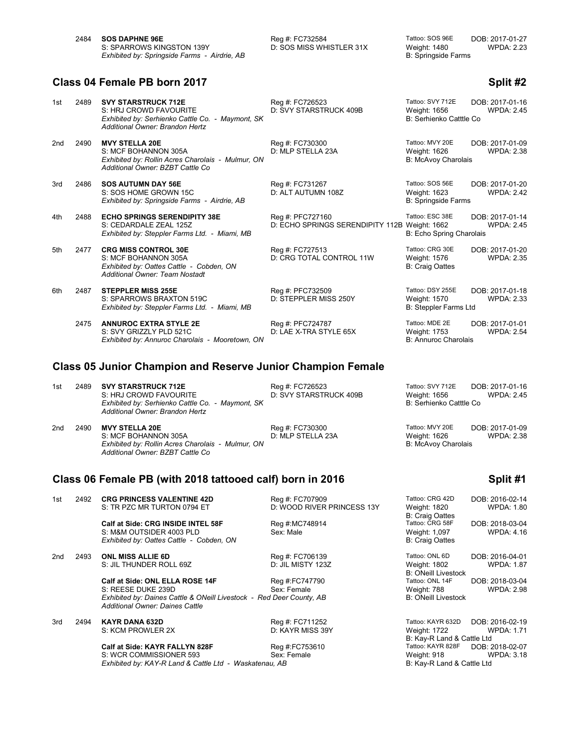| 2484 | <b>SOS DAPHNE 96E</b>                        |
|------|----------------------------------------------|
|      | S: SPARROWS KINGSTON 139Y                    |
|      | Exhibited by: Springside Farms - Airdrie, AB |

D: SOS MISS WHISTLER 31X

Peg #: FC732584 **Societ Factoo: SOS 96E** DOB: 2017-01-27<br>2.23 D: SOS MISS WHISTLER 31X Weight: 1480 **B: Springside Farms** 

## **Class 04 Female PB born 2017 Split #2 Split #2**

| 1st             | 2489 | <b>SVY STARSTRUCK 712E</b><br>S: HRJ CROWD FAVOURITE<br>Exhibited by: Serhienko Cattle Co. - Maymont, SK<br>Additional Owner: Brandon Hertz | Reg #: FC726523<br>D: SVY STARSTRUCK 409B                         | Tattoo: SVY 712E<br>Weight: 1656<br>B: Serhienko Catttle Co   | DOB: 2017-01-16<br><b>WPDA: 2.45</b> |
|-----------------|------|---------------------------------------------------------------------------------------------------------------------------------------------|-------------------------------------------------------------------|---------------------------------------------------------------|--------------------------------------|
| 2 <sub>nd</sub> | 2490 | <b>MVY STELLA 20E</b><br>S: MCF BOHANNON 305A<br>Exhibited by: Rollin Acres Charolais - Mulmur, ON<br>Additional Owner: BZBT Cattle Co.     | Reg #: FC730300<br>D: MLP STELLA 23A                              | Tattoo: MVY 20E<br>Weight: 1626<br>B: McAvoy Charolais        | DOB: 2017-01-09<br><b>WPDA: 2.38</b> |
| 3rd             | 2486 | <b>SOS AUTUMN DAY 56E</b><br>S: SOS HOME GROWN 15C<br>Exhibited by: Springside Farms - Airdrie, AB                                          | Reg #: FC731267<br>D: ALT AUTUMN 108Z                             | Tattoo: SOS 56E<br>Weight: 1623<br><b>B: Springside Farms</b> | DOB: 2017-01-20<br><b>WPDA: 2.42</b> |
| 4th             | 2488 | <b>ECHO SPRINGS SERENDIPITY 38E</b><br>S: CEDARDALE ZEAL 125Z<br>Exhibited by: Steppler Farms Ltd. - Miami, MB                              | Reg #: PFC727160<br>D: ECHO SPRINGS SERENDIPITY 112B Weight: 1662 | Tattoo: ESC 38E<br>B: Echo Spring Charolais                   | DOB: 2017-01-14<br><b>WPDA: 2.45</b> |
| 5th             | 2477 | <b>CRG MISS CONTROL 30E</b><br>S: MCF BOHANNON 305A<br>Exhibited by: Oattes Cattle - Cobden, ON<br>Additional Owner: Team Nostadt           | Reg #: FC727513<br>D: CRG TOTAL CONTROL 11W                       | Tattoo: CRG 30E<br>Weight: 1576<br><b>B: Craig Oattes</b>     | DOB: 2017-01-20<br><b>WPDA: 2.35</b> |
| 6th             | 2487 | <b>STEPPLER MISS 255E</b><br>S: SPARROWS BRAXTON 519C<br>Exhibited by: Steppler Farms Ltd. - Miami, MB                                      | Reg #: PFC732509<br>D: STEPPLER MISS 250Y                         | Tattoo: DSY 255E<br>Weight: 1570<br>B: Steppler Farms Ltd     | DOB: 2017-01-18<br><b>WPDA: 2.33</b> |
|                 | 2475 | <b>ANNUROC EXTRA STYLE 2E</b><br>S: SVY GRIZZLY PLD 521C<br>Exhibited by: Annuroc Charolais - Mooretown, ON                                 | Reg #: PFC724787<br>D: LAE X-TRA STYLE 65X                        | Tattoo: MDE 2E<br>Weight: 1753<br><b>B: Annuroc Charolais</b> | DOB: 2017-01-01<br><b>WPDA: 2.54</b> |

## **Class 05 Junior Champion and Reserve Junior Champion Female**

1st 2489 **SVY STARSTRUCK 712E** Reg #: FC726523 Tattoo: SVY 712E DOB: 2017-01-16<br>145. S: HRJ CROWD FAVOURITE D: SVY STARSTRUCK 409B Weight: 1656 WPDA: 2.45 S: HRJ CROWD FAVOURITE D: SVY STARSTRUCK 409B Weight: 1656<br>Exhibited by: Serhienko Cattle Co. - Maymont, SK B: 2.455 B: 2.455 B: 2.455 B: 2.455 B: 2.455 B: 2.455 B: 2.45 *Exhibited by: Serhienko Cattle Co. - Maymont, SK Additional Owner: Brandon Hertz*

2nd 2490 **MVY STELLA 20E** Reg #: FC730300 Tattoo: MVY 20E DOB: 2017-01-09<br>2.38 S: MCF BOHANNON 305A D: MLP STELLA 23A Weight: 1626 WPDA: 2.38 S: MCF BOHANNON 305A D: MLP STELLA 23A Weight: 1626<br>Exhibited by: Rollin Acres Charolais - Mulmur, ON B: MCAvoy Charolais *Exhibited by: Rollin Acres Charolais - Mulmur, ON Additional Owner: BZBT Cattle Co*

# **Class 06 Female PB (with 2018 tattooed calf) born in 2016 Split #1**

| 1st | 2492 | <b>CRG PRINCESS VALENTINE 42D</b><br>S: TR PZC MR TURTON 0794 ET                                                                                                        | Reg #: FC707909<br>D: WOOD RIVER PRINCESS 13Y | Tattoo: CRG 42D<br>Weight: 1820<br><b>B: Craig Oattes</b>       | DOB: 2016-02-14<br><b>WPDA: 1.80</b> |
|-----|------|-------------------------------------------------------------------------------------------------------------------------------------------------------------------------|-----------------------------------------------|-----------------------------------------------------------------|--------------------------------------|
|     |      | Calf at Side: CRG INSIDE INTEL 58F<br>S: M&M OUTSIDER 4003 PLD<br>Exhibited by: Oattes Cattle - Cobden, ON                                                              | Reg #:MC748914<br>Sex: Male                   | Tattoo: CRG 58F<br>Weight: 1,097<br><b>B: Craig Oattes</b>      | DOB: 2018-03-04<br><b>WPDA: 4.16</b> |
| 2nd | 2493 | <b>ONL MISS ALLIE 6D</b><br>S: JIL THUNDER ROLL 69Z                                                                                                                     | Reg #: FC706139<br>D: JIL MISTY 123Z          | Tattoo: ONL 6D<br>Weight: 1802<br><b>B: ONeill Livestock</b>    | DOB: 2016-04-01<br><b>WPDA: 1.87</b> |
|     |      | Calf at Side: ONL ELLA ROSE 14F<br>S: REESE DUKE 239D<br>Exhibited by: Daines Cattle & ONeill Livestock - Red Deer County, AB<br><b>Additional Owner: Daines Cattle</b> | Reg #:FC747790<br>Sex: Female                 | Tattoo: ONL 14F<br>Weight: 788<br><b>B: ONeill Livestock</b>    | DOB: 2018-03-04<br><b>WPDA: 2.98</b> |
| 3rd | 2494 | <b>KAYR DANA 632D</b><br>S: KCM PROWLER 2X                                                                                                                              | Reg #: FC711252<br>D: KAYR MISS 39Y           | Tattoo: KAYR 632D<br>Weight: 1722<br>B: Kay-R Land & Cattle Ltd | DOB: 2016-02-19<br><b>WPDA: 1.71</b> |
|     |      | Calf at Side: KAYR FALLYN 828F<br>S: WCR COMMISSIONER 593<br>Exhibited by: KAY-R Land & Cattle Ltd - Waskatenau, AB                                                     | Reg #:FC753610<br>Sex: Female                 | Tattoo: KAYR 828F<br>Weight: 918<br>B: Kay-R Land & Cattle Ltd  | DOB: 2018-02-07<br><b>WPDA: 3.18</b> |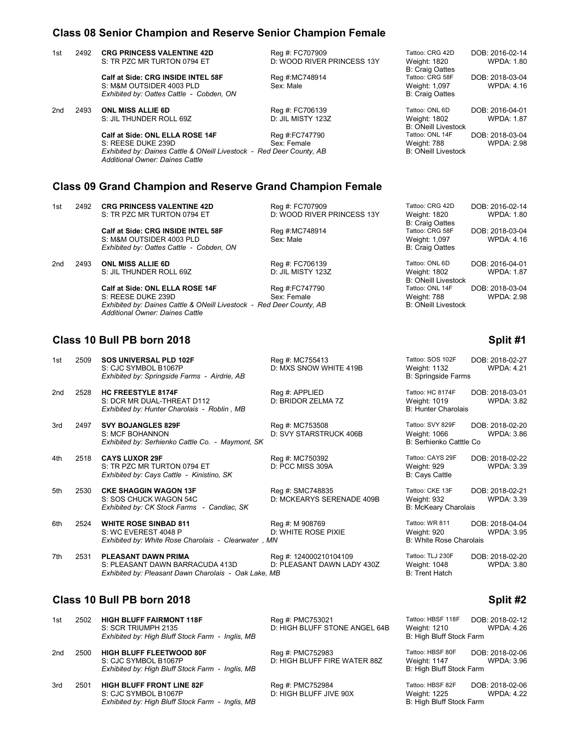## **Class 08 Senior Champion and Reserve Senior Champion Female**

| 1st | 2492 | <b>CRG PRINCESS VALENTINE 42D</b><br>S: TR PZC MR TURTON 0794 ET                                               | Reg #: FC707909<br>D: WOOD RIVER PRINCESS 13Y | Tattoo: CRG 42D<br>Weight: 1820                                                      | DOB: 2016-02-14<br><b>WPDA: 1.80</b> |
|-----|------|----------------------------------------------------------------------------------------------------------------|-----------------------------------------------|--------------------------------------------------------------------------------------|--------------------------------------|
|     |      | Calf at Side: CRG INSIDE INTEL 58F<br>S: M&M OUTSIDER 4003 PLD<br>Exhibited by: Oattes Cattle - Cobden, ON     | Reg #:MC748914<br>Sex: Male                   | <b>B: Craig Oattes</b><br>Tattoo: CRG 58F<br>Weight: 1,097<br><b>B: Craig Oattes</b> | DOB: 2018-03-04<br><b>WPDA: 4.16</b> |
| 2nd | 2493 | <b>ONL MISS ALLIE 6D</b><br>S: JIL THUNDER ROLL 69Z                                                            | Reg #: FC706139<br>D: JIL MISTY 123Z          | Tattoo: ONL 6D<br><b>Weight: 1802</b><br><b>B: ONeill Livestock</b>                  | DOB: 2016-04-01<br><b>WPDA: 1.87</b> |
|     |      | Calf at Side: ONL ELLA ROSE 14F                                                                                | Reg #:FC747790                                | Tattoo: ONL 14F                                                                      | DOB: 2018-03-04                      |
|     |      | S: REESE DUKE 239D                                                                                             | Sex: Female                                   | Weight: 788                                                                          | <b>WPDA: 2.98</b>                    |
|     |      | Exhibited by: Daines Cattle & ONeill Livestock - Red Deer County, AB<br><b>Additional Owner: Daines Cattle</b> |                                               | <b>B: ONeill Livestock</b>                                                           |                                      |
|     |      | <b>Class 09 Grand Champion and Reserve Grand Champion Female</b>                                               |                                               |                                                                                      |                                      |
| 1st | 2492 | <b>CRG PRINCESS VALENTINE 42D</b>                                                                              | Reg #: FC707909                               | Tattoo: CRG 42D                                                                      | DOB: 2016-02-14                      |
|     |      | S: TR PZC MR TURTON 0794 ET                                                                                    | D: WOOD RIVER PRINCESS 13Y                    | Weight: 1820<br><b>B: Craig Oattes</b>                                               | <b>WPDA: 1.80</b>                    |
|     |      | Calf at Side: CRG INSIDE INTEL 58F                                                                             | Reg #:MC748914                                | Tattoo: CRG 58F                                                                      | DOB: 2018-03-04                      |
|     |      | S: M&M OUTSIDER 4003 PLD                                                                                       | Sex: Male                                     | Weight: 1,097                                                                        | <b>WPDA: 4.16</b>                    |
|     |      | Exhibited by: Oattes Cattle - Cobden, ON                                                                       |                                               | <b>B: Craig Oattes</b>                                                               |                                      |
| 2nd | 2493 | <b>ONL MISS ALLIE 6D</b>                                                                                       | Reg #: FC706139                               | Tattoo: ONL 6D                                                                       | DOB: 2016-04-01                      |
|     |      | S: JIL THUNDER ROLL 69Z                                                                                        | D: JIL MISTY 123Z                             | Weight: 1802                                                                         | <b>WPDA: 1.87</b>                    |
|     |      |                                                                                                                |                                               | <b>B: ONeill Livestock</b>                                                           |                                      |
|     |      | Calf at Side: ONL ELLA ROSE 14F                                                                                | Reg #:FC747790                                | Tattoo: ONL 14F                                                                      | DOB: 2018-03-04                      |
|     |      | S: REESE DUKE 239D                                                                                             | Sex: Female                                   | Weight: 788                                                                          | <b>WPDA: 2.98</b>                    |
|     |      | Exhibited by: Daines Cattle & ONeill Livestock - Red Deer County, AB                                           |                                               | <b>B: ONeill Livestock</b>                                                           |                                      |

## **Class 10 Bull PB born 2018 Split #1 Split #1 Split #1 Split #1**

*Additional Owner: Daines Cattle*

| 1st             | 2509 | <b>SOS UNIVERSAL PLD 102F</b><br>S: CJC SYMBOL B1067P<br>Exhibited by: Springside Farms - Airdrie, AB                 | Reg #: MC755413<br>D: MXS SNOW WHITE 419B            | Tattoo: SOS 102F<br>Weight: 1132<br><b>B: Springside Farms</b> | DOB: 2018-02-27<br><b>WPDA: 4.21</b> |
|-----------------|------|-----------------------------------------------------------------------------------------------------------------------|------------------------------------------------------|----------------------------------------------------------------|--------------------------------------|
| 2 <sub>nd</sub> | 2528 | <b>HC FREESTYLE 8174F</b><br>S: DCR MR DUAL-THREAT D112<br>Exhibited by: Hunter Charolais - Roblin, MB                | Reg #: APPLIED<br>D: BRIDOR ZELMA 7Z                 | Tattoo: HC 8174F<br>Weight: 1019<br><b>B: Hunter Charolais</b> | DOB: 2018-03-01<br><b>WPDA: 3.82</b> |
| 3rd             | 2497 | <b>SVY BOJANGLES 829F</b><br>S: MCF BOHANNON<br>Exhibited by: Serhienko Cattle Co. - Maymont, SK                      | Reg #: MC753508<br>D: SVY STARSTRUCK 406B            | Tattoo: SVY 829F<br>Weight: 1066<br>B: Serhienko Catttle Co    | DOB: 2018-02-20<br><b>WPDA: 3.86</b> |
| 4th             | 2518 | <b>CAYS LUXOR 29F</b><br>S: TR PZC MR TURTON 0794 ET<br>Exhibited by: Cays Cattle - Kinistino, SK                     | Reg #: MC750392<br>D: PCC MISS 309A                  | Tattoo: CAYS 29F<br>Weight: 929<br><b>B: Cays Cattle</b>       | DOB: 2018-02-22<br><b>WPDA: 3.39</b> |
| 5th             | 2530 | <b>CKE SHAGGIN WAGON 13F</b><br>S: SOS CHUCK WAGON 54C<br>Exhibited by: CK Stock Farms - Candiac, SK                  | Reg #: SMC748835<br>D: MCKEARYS SERENADE 409B        | Tattoo: CKE 13F<br>Weight: 932<br><b>B: McKeary Charolais</b>  | DOB: 2018-02-21<br><b>WPDA: 3.39</b> |
| 6th             | 2524 | <b>WHITE ROSE SINBAD 811</b><br>S: WC EVEREST 4048 P<br>Exhibited by: White Rose Charolais - Clearwater, MN           | Reg #: M 908769<br>D: WHITE ROSE PIXIE               | Tattoo: WR 811<br>Weight: 920<br>B: White Rose Charolais       | DOB: 2018-04-04<br><b>WPDA: 3.95</b> |
| 7th             | 2531 | <b>PLEASANT DAWN PRIMA</b><br>S: PLEASANT DAWN BARRACUDA 413D<br>Exhibited by: Pleasant Dawn Charolais - Oak Lake, MB | Reg #: 124000210104109<br>D: PLEASANT DAWN LADY 430Z | Tattoo: TLJ 230F<br>Weight: 1048<br><b>B: Trent Hatch</b>      | DOB: 2018-02-20<br><b>WPDA: 3.80</b> |

# **Class 10 Bull PB born 2018 Split #2 Split #2**

| 1st | 2502 | <b>HIGH BLUFF FAIRMONT 118F</b><br>S: SCR TRIUMPH 2135<br>Exhibited by: High Bluff Stock Farm - Inglis, MB   | Reg #: PMC753021<br>D: HIGH BLUFF STONE ANGEL 64B | Tattoo: HBSF 118F<br>Weight: 1210<br>B: High Bluff Stock Farm | DOB: 2018-02-12<br>WPDA: 4.26        |
|-----|------|--------------------------------------------------------------------------------------------------------------|---------------------------------------------------|---------------------------------------------------------------|--------------------------------------|
| 2nd | 2500 | <b>HIGH BLUFF FLEETWOOD 80F</b><br>S: CJC SYMBOL B1067P<br>Exhibited by: High Bluff Stock Farm - Inglis, MB  | Reg #: PMC752983<br>D: HIGH BLUFF FIRE WATER 88Z  | Tattoo: HBSF 80F<br>Weight: 1147<br>B: High Bluff Stock Farm  | DOB: 2018-02-06<br><b>WPDA: 3.96</b> |
| 3rd | 2501 | <b>HIGH BLUFF FRONT LINE 82F</b><br>S: CJC SYMBOL B1067P<br>Exhibited by: High Bluff Stock Farm - Inglis, MB | Reg #: PMC752984<br>D: HIGH BLUFF JIVE 90X        | Tattoo: HBSF 82F<br>Weight: 1225<br>B: High Bluff Stock Farm  | DOB: 2018-02-06<br><b>WPDA: 4.22</b> |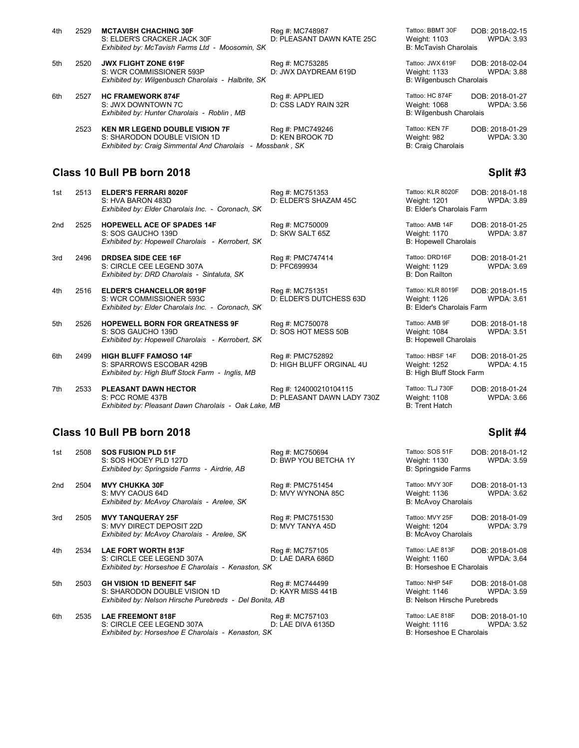| 4th | 2529 | <b>MCTAVISH CHACHING 30F</b><br>S: ELDER'S CRACKER JACK 30F<br>Exhibited by: McTavish Farms Ltd - Moosomin, SK | Reg #: MC748987<br>D: PLEASANT DAWN KATE 25C | Tattoo: BBMT 30F<br>Weight: 1103<br><b>B: McTavish Charolais</b> | DOB: 2018-02-15<br><b>WPDA: 3.93</b> |
|-----|------|----------------------------------------------------------------------------------------------------------------|----------------------------------------------|------------------------------------------------------------------|--------------------------------------|
| 5th | 2520 | <b>JWX FLIGHT ZONE 619F</b><br>S: WCR COMMISSIONER 593P<br>Exhibited by: Wilgenbusch Charolais - Halbrite, SK  | Reg #: MC753285<br>D: JWX DAYDREAM 619D      | Tattoo: JWX 619F<br>Weight: 1133<br>B: Wilgenbusch Charolais     | DOB: 2018-02-04<br><b>WPDA: 3.88</b> |
| 6th | 2527 | <b>HC FRAMEWORK 874F</b><br>S: JWX DOWNTOWN 7C<br>Exhibited by: Hunter Charolais - Roblin, MB                  | Reg #: APPLIED<br>D: CSS LADY RAIN 32R       | Tattoo: HC 874F<br>Weight: 1068<br>B: Wilgenbush Charolais       | DOB: 2018-01-27<br><b>WPDA: 3.56</b> |

*Exhibited by: Craig Simmental And Charolais - Mossbank, SK* 

*Exhibited by: High Bluff Stock Farm - Inglis, MB* 

*Exhibited by: Pleasant Dawn Charolais - Oak Lake, MB* 

2523 **KEN MR LEGEND DOUBLE VISION 7F** Reg #: PMC749246 Tattoo: KEN 7F DOB: 2018-01-29<br>S: SHARODON DOUBLE VISION 1D D: KEN BROOK 7D Weight: 982 WPDA: 3.30 S: SHARODON DOUBLE VISION 1D D: KEN BROOK 7D Weight: 982 WPDA: 3.30

# **Class 10 Bull PB born 2018 Split #3**

| 1st | 2513 | <b>ELDER'S FERRARI 8020F</b><br>S: HVA BARON 483D<br>Exhibited by: Elder Charolais Inc. - Coronach, SK           | Reg #: MC751353<br>D: ELDER'S SHAZAM 45C     | Tattoo: KLR 8020F<br>Weight: 1201<br>B: Elder's Charolais Farm  | DOB: 2018-01-18<br><b>WPDA: 3.89</b> |
|-----|------|------------------------------------------------------------------------------------------------------------------|----------------------------------------------|-----------------------------------------------------------------|--------------------------------------|
| 2nd | 2525 | <b>HOPEWELL ACE OF SPADES 14F</b><br>S: SOS GAUCHO 139D<br>Exhibited by: Hopewell Charolais - Kerrobert, SK      | Reg #: MC750009<br>D: SKW SALT 65Z           | Tattoo: AMB 14F<br>Weight: 1170<br><b>B: Hopewell Charolais</b> | DOB: 2018-01-25<br><b>WPDA: 3.87</b> |
| 3rd | 2496 | <b>DRDSEA SIDE CEE 16F</b><br>S: CIRCLE CEE LEGEND 307A<br>Exhibited by: DRD Charolais - Sintaluta, SK           | Reg #: PMC747414<br>D: PFC699934             | Tattoo: DRD16F<br>Weight: 1129<br><b>B: Don Railton</b>         | DOB: 2018-01-21<br><b>WPDA: 3.69</b> |
| 4th | 2516 | <b>ELDER'S CHANCELLOR 8019F</b><br>S: WCR COMMISSIONER 593C<br>Exhibited by: Elder Charolais Inc. - Coronach, SK | Reg #: MC751351<br>D: ELDER'S DUTCHESS 63D   | Tattoo: KLR 8019F<br>Weight: 1126<br>B: Elder's Charolais Farm  | DOB: 2018-01-15<br>WPDA: 3.61        |
| 5th | 2526 | <b>HOPEWELL BORN FOR GREATNESS 9F</b><br>S: SOS GAUCHO 139D<br>Exhibited by: Hopewell Charolais - Kerrobert, SK  | Reg #: MC750078<br>D: SOS HOT MESS 50B       | Tattoo: AMB 9F<br>Weight: 1084<br><b>B: Hopewell Charolais</b>  | DOB: 2018-01-18<br><b>WPDA: 3.51</b> |
| 6th | 2499 | <b>HIGH BLUFF FAMOSO 14F</b><br>S: SPARROWS ESCOBAR 429B<br>Exhibited by: High Bluff Stock Farm - Inglis, MB     | Reg #: PMC752892<br>D: HIGH BLUFF ORGINAL 4U | Tattoo: HBSF 14F<br>Weight: 1252<br>B: High Bluff Stock Farm    | DOB: 2018-01-25<br><b>WPDA: 4.15</b> |

7th 2533 **PLEASANT DAWN HECTOR** Reg #: 124000210104115 Tattoo: TLJ 730F DOB: 2018-01-24<br>S: PCC ROME 437B D: PLEASANT DAWN LADY 730Z Weight: 1108 WPDA: 3.66 D: PLEASANT DAWN LADY 730Z Weight: 1108<br>MB B: Trent Hatch

### **Class 10 Bull PB born 2018 Split #4**

| 1st | 2508 | <b>SOS FUSION PLD 51F</b><br>S: SOS HOOEY PLD 127D<br>Exhibited by: Springside Farms - Airdrie, AB                         | Reg #: MC750694<br>D: BWP YOU BETCHA 1Y | Tattoo: SOS 51F<br>Weight: 1130<br><b>B: Springside Farms</b>  | DOB: 2018-01-12<br><b>WPDA: 3.59</b> |
|-----|------|----------------------------------------------------------------------------------------------------------------------------|-----------------------------------------|----------------------------------------------------------------|--------------------------------------|
| 2nd | 2504 | <b>MVY CHUKKA 30F</b><br>S: MVY CAOUS 64D<br>Exhibited by: McAvoy Charolais - Arelee, SK                                   | Reg #: PMC751454<br>D: MVY WYNONA 85C   | Tattoo: MVY 30F<br>Weight: 1136<br>B: McAvoy Charolais         | DOB: 2018-01-13<br><b>WPDA: 3.62</b> |
| 3rd | 2505 | <b>MVY TANQUERAY 25F</b><br>S: MVY DIRECT DEPOSIT 22D<br>Exhibited by: McAvoy Charolais - Arelee, SK                       | Reg #: PMC751530<br>D: MVY TANYA 45D    | Tattoo: MVY 25F<br>Weight: 1204<br><b>B: McAvoy Charolais</b>  | DOB: 2018-01-09<br><b>WPDA: 3.79</b> |
| 4th | 2534 | <b>LAE FORT WORTH 813F</b><br>S: CIRCLE CEE LEGEND 307A<br>Exhibited by: Horseshoe E Charolais - Kenaston, SK              | Reg #: MC757105<br>D: LAE DARA 686D     | Tattoo: LAE 813F<br>Weight: 1160<br>B: Horseshoe E Charolais   | DOB: 2018-01-08<br><b>WPDA: 3.64</b> |
| 5th | 2503 | <b>GH VISION 1D BENEFIT 54F</b><br>S: SHARODON DOUBLE VISION 1D<br>Exhibited by: Nelson Hirsche Purebreds - Del Bonita, AB | Reg #: MC744499<br>D: KAYR MISS 441B    | Tattoo: NHP 54F<br>Weight: 1146<br>B: Nelson Hirsche Purebreds | DOB: 2018-01-08<br><b>WPDA: 3.59</b> |
| 6th | 2535 | <b>LAE FREEMONT 818F</b><br>S: CIRCLE CEE LEGEND 307A<br>Exhibited by: Horseshoe E Charolais - Kenaston, SK                | Reg #: MC757103<br>D: LAE DIVA 6135D    | Tattoo: LAE 818F<br>Weight: 1116<br>B: Horseshoe E Charolais   | DOB: 2018-01-10<br><b>WPDA: 3.52</b> |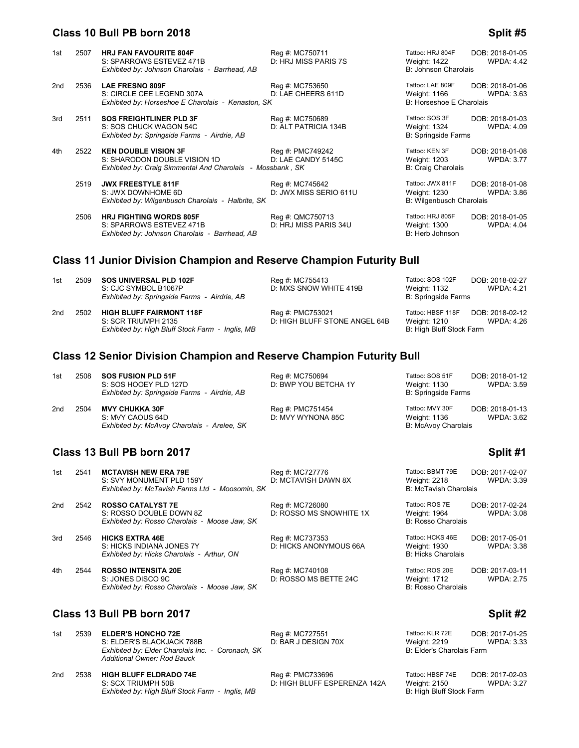### **Class 10 Bull PB born 2018 Split #5**

| 1st | 2507                 | <b>HRJ FAN FAVOURITE 804F</b><br>S: SPARROWS ESTEVEZ 471B<br>Exhibited by: Johnson Charolais - Barrhead, AB                                                                                                                                                                                                                                                                          | Reg #: MC750711<br>D: HRJ MISS PARIS 7S   | Tattoo: HRJ 804F<br>Weight: 1422<br>B: Johnson Charolais     | DOB: 2018-01-05<br><b>WPDA: 4.42</b> |
|-----|----------------------|--------------------------------------------------------------------------------------------------------------------------------------------------------------------------------------------------------------------------------------------------------------------------------------------------------------------------------------------------------------------------------------|-------------------------------------------|--------------------------------------------------------------|--------------------------------------|
| 2nd | 2536                 | <b>LAE FRESNO 809F</b><br>S: CIRCLE CEE LEGEND 307A<br>Exhibited by: Horseshoe E Charolais - Kenaston, SK                                                                                                                                                                                                                                                                            | Reg #: MC753650<br>D: LAE CHEERS 611D     | Tattoo: LAE 809F<br>Weight: 1166<br>B: Horseshoe E Charolais | DOB: 2018-01-06<br><b>WPDA: 3.63</b> |
| 3rd | 2511                 | <b>SOS FREIGHTLINER PLD 3F</b><br>S: SOS CHUCK WAGON 54C<br>Exhibited by: Springside Farms - Airdrie, AB                                                                                                                                                                                                                                                                             | Reg #: MC750689<br>D: ALT PATRICIA 134B   | Tattoo: SOS 3F<br>Weight: 1324<br><b>B: Springside Farms</b> | DOB: 2018-01-03<br><b>WPDA: 4.09</b> |
| 4th | 2522                 | <b>KEN DOUBLE VISION 3F</b><br>S: SHARODON DOUBLE VISION 1D<br>Exhibited by: Craig Simmental And Charolais - Mossbank, SK                                                                                                                                                                                                                                                            | Reg #: PMC749242<br>D: LAE CANDY 5145C    | Tattoo: KEN 3F<br>Weight: 1203<br><b>B: Craig Charolais</b>  | DOB: 2018-01-08<br><b>WPDA: 3.77</b> |
|     | 2519                 | <b>JWX FREESTYLE 811F</b><br>S: JWX DOWNHOME 6D<br>Exhibited by: Wilgenbusch Charolais - Halbrite. SK                                                                                                                                                                                                                                                                                | Reg #: MC745642<br>D: JWX MISS SERIO 611U | Tattoo: JWX 811F<br>Weight: 1230<br>B: Wilgenbusch Charolais | DOB: 2018-01-08<br><b>WPDA: 3.86</b> |
|     | $\sim$ $\sim$ $\sim$ | $\overline{11}$ $\overline{1}$ $\overline{1}$ $\overline{2}$ $\overline{1}$ $\overline{1}$ $\overline{1}$ $\overline{1}$ $\overline{2}$ $\overline{1}$ $\overline{2}$ $\overline{1}$ $\overline{2}$ $\overline{1}$ $\overline{2}$ $\overline{1}$ $\overline{2}$ $\overline{2}$ $\overline{1}$ $\overline{2}$ $\overline{2}$ $\overline{2}$ $\overline{2}$ $\overline{2}$ $\overline$ | $P''$ $(1.010770740$                      |                                                              | <b>DOD 0010.01.05</b>                |

 2506 **HRJ FIGHTING WORDS 805F** Reg #: QMC750713 Tattoo: HRJ 805F DOB: 2018-01-05 S: SPARROWS ESTEVEZ 471B Exhibited by: Johnson Charolais - Barrhead, AB B: Herb Johnson B: Herb Johnson

## **Class 11 Junior Division Champion and Reserve Champion Futurity Bull**

| 1st | 2509 SOS UNIVERSAL PLD 102F                 |
|-----|---------------------------------------------|
|     | S: CJC SYMBOL B1067P                        |
|     | Exhibited by: Springside Farms - Airdrie. A |

2nd 2502 **HIGH BLUFF FAIRMONT 118F** Reg #: PMC753021 Tattoo: HBSF 118F DOB: 2018-02-12 *Exhibited by: High Bluff Stock Farm - Inglis, MB* 

D: MXS SNOW WHITE 419B Weight: 1132 WPDA: 4.21<br>B: Springside Farms **B: Springside Farms** D: HIGH BLUFF STONE ANGEL 64B Weight: 1210<br>B: High Bluff Stock Farm

**1st 260 Fee at 260 Fee algebra 102F** Reg #: MC755413 Tattoo: SOS 102F DOB: 2018-02-27

## **Class 12 Senior Division Champion and Reserve Champion Futurity Bull**

| 1st | 2508 SOS FUSION PLD 51F                      | Rea #: MC750694      | Tattoo: SOS 51F     | DOB: 2018-01-12   |
|-----|----------------------------------------------|----------------------|---------------------|-------------------|
|     | S: SOS HOOEY PLD 127D                        | D: BWP YOU BETCHA 1Y | Weight: 1130        | <b>WPDA: 3.59</b> |
|     | Exhibited by: Springside Farms - Airdrie, AB |                      | B: Springside Farms |                   |

2nd 2504 **MVY CHUKKA 30F** Reg #: PMC751454 Tattoo: MVY 30F DOB: 2018-01-13<br>2nd 2504 D: MVY WYNONA 85C Weight: 1136 WPDA: 3.62 **Exhibited by: McAvoy Charolais - Arelee, SK** 

D: MVY WYNONA 85C Weight: 1136<br>B: McAvoy Charolais

# **Class 13 Bull PB born 2017 Split #1**

| 1st | 2541                                   | <b>MCTAVISH NEW ERA 79E</b><br>S: SVY MONUMENT PLD 159Y<br>Exhibited by: McTavish Farms Ltd - Moosomin, SK | Reg #: MC727776<br>D: MCTAVISH DAWN 8X     | Tattoo: BBMT 79E<br>Weight: 2218<br><b>B: McTavish Charolais</b> | DOB: 2017-02-07<br><b>WPDA: 3.39</b> |
|-----|----------------------------------------|------------------------------------------------------------------------------------------------------------|--------------------------------------------|------------------------------------------------------------------|--------------------------------------|
| 2nd | 2542                                   | <b>ROSSO CATALYST 7E</b><br>S: ROSSO DOUBLE DOWN 8Z<br>Exhibited by: Rosso Charolais - Moose Jaw, SK       | Reg #: MC726080<br>D: ROSSO MS SNOWHITE 1X | Tattoo: ROS 7E<br>Weight: 1964<br><b>B: Rosso Charolais</b>      | DOB: 2017-02-24<br><b>WPDA: 3.08</b> |
| 3rd | 2546                                   | <b>HICKS EXTRA 46E</b><br>S: HICKS INDIANA JONES 7Y<br>Exhibited by: Hicks Charolais - Arthur. ON          | Reg #: MC737353<br>D: HICKS ANONYMOUS 66A  | Tattoo: HCKS 46E<br>Weight: 1930<br><b>B: Hicks Charolais</b>    | DOB: 2017-05-01<br><b>WPDA: 3.38</b> |
| 4th | 2544                                   | <b>ROSSO INTENSITA 20E</b><br>S: JONES DISCO 9C<br>Exhibited by: Rosso Charolais - Moose Jaw, SK           | Reg #: MC740108<br>D: ROSSO MS BETTE 24C   | Tattoo: ROS 20E<br>Weight: 1712<br><b>B: Rosso Charolais</b>     | DOB: 2017-03-11<br><b>WPDA: 2.75</b> |
|     | Class 13 Bull PB born 2017<br>Split #2 |                                                                                                            |                                            |                                                                  |                                      |

| 1st | 2539 | <b>ELDER'S HONCHO 72E</b>                                                        |
|-----|------|----------------------------------------------------------------------------------|
|     |      | S: ELDER'S BLACKJACK 788B                                                        |
|     |      | Exhibited by: Elder Charolais Inc. - Coronach, SK<br>Additional Owner: Rod Bauck |

2nd 2538 **HIGH BLUFF ELDRADO 74E** Reg #: PMC733696 Tattoo: HBSF 74E DOB: 2017-02-03<br>27: S: SCX TRIUMPH 50B B D: HIGH BLUFF ESPERENZA 142A Weight: 2150 WPDA: 3.27 *Exhibited by: High Bluff Stock Farm - Inglis, MB* 

**1st 2539 FLDER'S HONEY Reg #: MC727551 Tattoo: K** D: BAR J DESIGN 70X Weight:

D: HIGH BLUFF ESPERENZA 142A Weight: 2150<br>B: High Bluff Stock Farm

| Tattoo: KLR 72E           | DOB: 2017-01-25   |
|---------------------------|-------------------|
| <b>Weight: 2219</b>       | <b>WPDA: 3.33</b> |
| B: Elder's Charolais Farm |                   |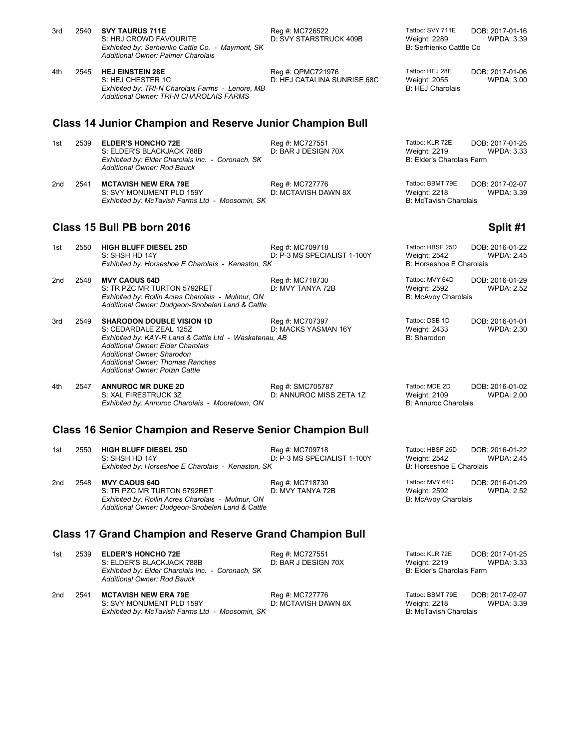| 3rd                                                              | 2540                                                           | <b>SVY TAURUS 711E</b><br>S: HRJ CROWD FAVOURITE<br>Exhibited by: Serhienko Cattle Co. - Maymont, SK<br><b>Additional Owner: Palmer Charolais</b>                                                                                                                            | Reg #: MC726522<br>D: SVY STARSTRUCK 409B        | Tattoo: SVY 711E<br>Weight: 2289<br><b>B: Serhienko Catttle Co</b>  | DOB: 2017-01-16<br><b>WPDA: 3.39</b> |  |
|------------------------------------------------------------------|----------------------------------------------------------------|------------------------------------------------------------------------------------------------------------------------------------------------------------------------------------------------------------------------------------------------------------------------------|--------------------------------------------------|---------------------------------------------------------------------|--------------------------------------|--|
| 4th                                                              | 2545                                                           | <b>HEJ EINSTEIN 28E</b><br>S: HEJ CHESTER 1C<br>Exhibited by: TRI-N Charolais Farms - Lenore, MB<br><b>Additional Owner: TRI-N CHAROLAIS FARMS</b>                                                                                                                           | Reg #: QPMC721976<br>D: HEJ CATALINA SUNRISE 68C | Tattoo: HEJ 28E<br><b>Weight: 2055</b><br><b>B: HEJ Charolais</b>   | DOB: 2017-01-06<br><b>WPDA: 3.00</b> |  |
|                                                                  |                                                                | <b>Class 14 Junior Champion and Reserve Junior Champion Bull</b>                                                                                                                                                                                                             |                                                  |                                                                     |                                      |  |
| 1st                                                              | 2539                                                           | <b>ELDER'S HONCHO 72E</b><br>S: ELDER'S BLACKJACK 788B<br>Exhibited by: Elder Charolais Inc. - Coronach, SK<br><b>Additional Owner: Rod Bauck</b>                                                                                                                            | Reg #: MC727551<br>D: BAR J DESIGN 70X           | Tattoo: KLR 72E<br>Weight: 2219<br><b>B: Elder's Charolais Farm</b> | DOB: 2017-01-25<br><b>WPDA: 3.33</b> |  |
| 2nd                                                              | 2541                                                           | <b>MCTAVISH NEW ERA 79E</b><br>S: SVY MONUMENT PLD 159Y<br>Exhibited by: McTavish Farms Ltd - Moosomin, SK                                                                                                                                                                   | Reg #: MC727776<br>D: MCTAVISH DAWN 8X           | Tattoo: BBMT 79E<br>Weight: 2218<br><b>B: McTavish Charolais</b>    | DOB: 2017-02-07<br><b>WPDA: 3.39</b> |  |
|                                                                  |                                                                | Class 15 Bull PB born 2016                                                                                                                                                                                                                                                   |                                                  |                                                                     | Split #1                             |  |
| 1st                                                              | 2550                                                           | <b>HIGH BLUFF DIESEL 25D</b><br>S: SHSH HD 14Y<br>Exhibited by: Horseshoe E Charolais - Kenaston, SK                                                                                                                                                                         | Reg #: MC709718<br>D: P-3 MS SPECIALIST 1-100Y   | Tattoo: HBSF 25D<br>Weight: 2542<br>B: Horseshoe E Charolais        | DOB: 2016-01-22<br><b>WPDA: 2.45</b> |  |
| 2nd                                                              | 2548                                                           | <b>MVY CAOUS 64D</b><br>S: TR PZC MR TURTON 5792RET<br>Exhibited by: Rollin Acres Charolais - Mulmur, ON<br>Additional Owner: Dudgeon-Snobelen Land & Cattle                                                                                                                 | Reg #: MC718730<br>D: MVY TANYA 72B              | Tattoo: MVY 64D<br><b>Weight: 2592</b><br>B: McAvoy Charolais       | DOB: 2016-01-29<br><b>WPDA: 2.52</b> |  |
| 3rd                                                              | 2549                                                           | <b>SHARODON DOUBLE VISION 1D</b><br>S: CEDARDALE ZEAL 125Z<br>Exhibited by: KAY-R Land & Cattle Ltd - Waskatenau, AB<br>Additional Owner: Elder Charolais<br>Additional Owner: Sharodon<br><b>Additional Owner: Thomas Ranches</b><br><b>Additional Owner: Polzin Cattle</b> | Reg #: MC707397<br>D: MACKS YASMAN 16Y           | Tattoo: DSB 1D<br>Weight: 2433<br>B: Sharodon                       | DOB: 2016-01-01<br><b>WPDA: 2.30</b> |  |
| 4th                                                              | 2547                                                           | <b>ANNUROC MR DUKE 2D</b><br>S: XAL FIRESTRUCK 3Z<br>Exhibited by: Annuroc Charolais - Mooretown, ON                                                                                                                                                                         | Reg #: SMC705787<br>D: ANNUROC MISS ZETA 1Z      | Tattoo: MDE 2D<br>Weight: 2109<br><b>B: Annuroc Charolais</b>       | DOB: 2016-01-02<br><b>WPDA: 2.00</b> |  |
| <b>Class 16 Senior Champion and Reserve Senior Champion Bull</b> |                                                                |                                                                                                                                                                                                                                                                              |                                                  |                                                                     |                                      |  |
| 1st                                                              | 2550                                                           | <b>HIGH BLUFF DIESEL 25D</b><br>S: SHSH HD 14Y<br>Exhibited by: Horseshoe E Charolais - Kenaston, SK                                                                                                                                                                         | Reg #: MC709718<br>D: P-3 MS SPECIALIST 1-100Y   | Tattoo: HBSF 25D<br>Weight: 2542<br><b>B: Horseshoe E Charolais</b> | DOB: 2016-01-22<br><b>WPDA: 2.45</b> |  |
| 2nd                                                              | 2548                                                           | <b>MVY CAOUS 64D</b><br>S: TR PZC MR TURTON 5792RET<br>Exhibited by: Rollin Acres Charolais - Mulmur, ON<br>Additional Owner: Dudgeon-Snobelen Land & Cattle                                                                                                                 | Reg #: MC718730<br>D: MVY TANYA 72B              | Tattoo: MVY 64D<br>Weight: 2592<br><b>B: McAvoy Charolais</b>       | DOB: 2016-01-29<br><b>WPDA: 2.52</b> |  |
|                                                                  | <b>Class 17 Grand Champion and Reserve Grand Champion Bull</b> |                                                                                                                                                                                                                                                                              |                                                  |                                                                     |                                      |  |

1st 2539 **ELDER'S HONCHO 72E** Reg #: MC727551 Tattoo: KLR 72E DOB: 2017-01-25<br>1333 S: ELDER'S BLACKJACK 788B D: BAR J DESIGN 70X Weight: 2219 WPDA: 3.33 S: ELDER'S BLACKJACK 788B D: BAR J DESIGN 70X Weight: 2219<br>
Exhibited by: Elder Charolais Inc. - Coronach, SK D: BAR J DESIGN 70X B: Elder's Charolais Farm **Exhibited by: Elder Charolais Inc. - Coronach, SK** *Additional Owner: Rod Bauck*

2nd 2541 **MCTAVISH NEW ERA 79E** Reg #: MC727776 Tattoo: BBMT 79E DOB: 2017-02-07<br>218 S: SVY MONUMENT PLD 159Y D: MCTAVISH DAWN 8X Weight: 2218 WPDA: 3.39<br>Exhibited by: McTavish Farms Ltd - Moosomin, SK B: McTavish Charolai S: SVY MONUMENT PLD 159Y D: MCTAVISH DAWN 8X Weight: 2218 WPDA: 3.39 *Exhibited by: McTavish Farms Ltd - Moosomin, SK* B: McTavish Charolais